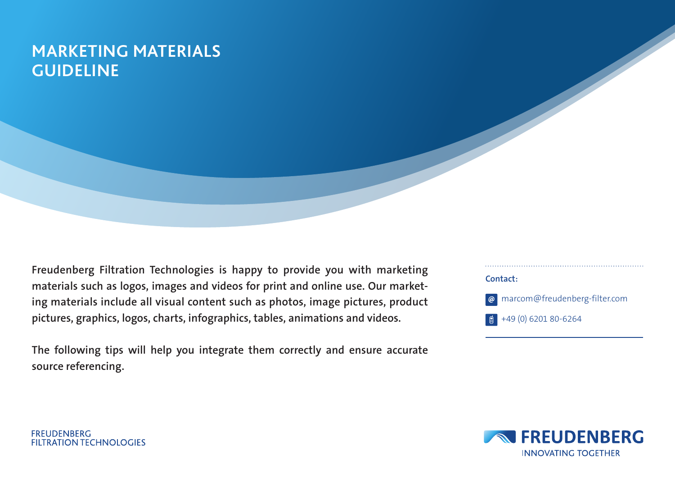### **MARKETING MATERIALS GUIDELINE**

**Freudenberg Filtration Technologies is happy to provide you with marketing materials such as logos, images and videos for print and online use. Our marketing materials include all visual content such as photos, image pictures, product pictures, graphics, logos, charts, infographics, tables, animations and videos.** 

**The following tips will help you integrate them correctly and ensure accurate source referencing.**





**FREUDENBERG FILTRATION TECHNOLOGIES**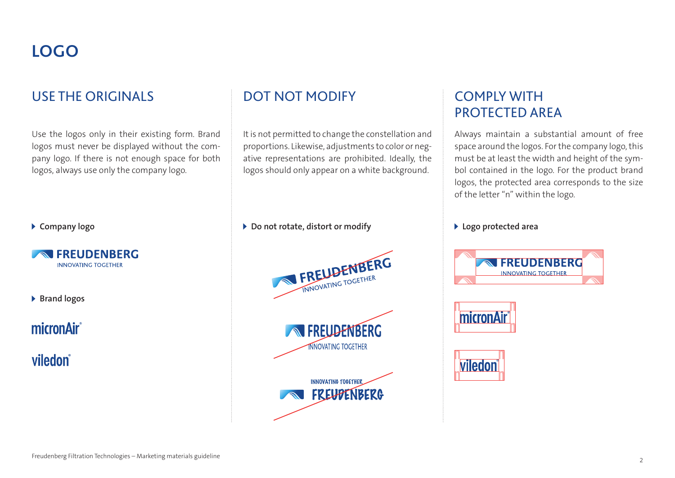## **LOGO**

#### USE THE ORIGINALS **EXECUTE ON THE ORIGINALS** ONE ON THE DOT NOT MODIFY THE COMPLY WITH

Use the logos only in their existing form. Brand logos must never be displayed without the company logo. If there is not enough space for both logos, always use only the company logo.

**Company logo**



**Brand logos**

micronAir®

viledon®

It is not permitted to change the constellation and proportions. Likewise, adjustments to color or negative representations are prohibited. Ideally, the logos should only appear on a white background.

**Do not rotate, distort or modify Logo protected area**







# PROTECTED AREA

Always maintain a substantial amount of free space around the logos. For the company logo, this must be at least the width and height of the symbol contained in the logo. For the product brand logos, the protected area corresponds to the size of the letter "n" within the logo.